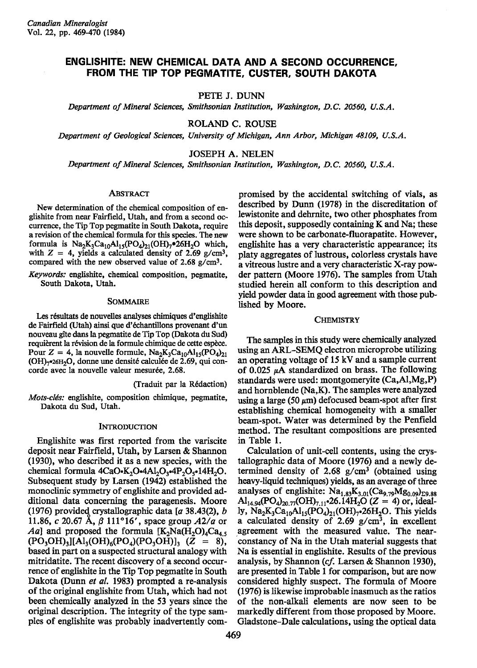# ENGLISHITE: NEW CHEMICAL DATA AND A SECOND OCCURRENCE, FROM THE TIP TOP PEGMATITE, CUSTER, SOUTH DAKOTA

PETE J. DUNN

Department of Mineral Sciences, Smithsonian Institution, Washington, D.C. 20560, U.S.A.

ROLAND C. ROUSE

Department of Geological Sciences, University of Michigan, Ann Arbor, Michigan 48109, U.S.A.

JOSEPH A. NELEN

Department of Mineral Sciences, Smithsonian Institution, Washington, D.C. 20560, U.S.A.

### ABSTRACT

New determination of the chemical composition of englishite from near Fairfield, Utah, and from a second occurrence, the Tip Top pegmatite in South Dakota, require a revision of the chemical formula for this species. The new formula is  $Na_2K_3Ca_{10}Al_{15}(PO_4)_{21}(OH)_7$  \*26H<sub>2</sub>O which, with  $Z = 4$ , yields a calculated density of 2.69 g/cm<sup>3</sup>, compared with the new observed value of 2.68 g/cm3.

Keywords: englishite, chemical composition, pegmatite, South Dakota, Utah.

### SOMMAIRE

Les résultats de nouvelles analyses chimiques d'englishite de Fairfield (Utah) ainsi que d'6chantillons provenant d'un nouveau gîte dans la pegmatite de Tip Top (Dakota du Sud) requièrent la révision de la formule chimique de cette espèce. Pour  $Z = 4$ , la nouvelle formule,  $\text{Na}_2\text{K}_3\text{Ca}_{10}\text{Al}_{15}(\text{PO}_4)_{21}$ (OH)<sub>7</sub>•26H<sub>2</sub>O, donne une densité calculée de 2.69, qui concorde avec la nouvelle valeur mesurée, 2.68.

Clraduit par la R6daction)

Mots-clés: englishite, composition chimique, pegmatite, Dakota du Sud, Utah.

## INTRODUCTION

Englishite was first reported from the variscite deposit near Fairfield, Utah, by Larsen & Shannon (1930), who described it as a new species, with the chemical formula  $4CaO-K<sub>2</sub>O<sub>3</sub>4Al<sub>2</sub>O<sub>3</sub>4P<sub>2</sub>O<sub>5</sub>14H<sub>2</sub>O.$ Subsequent study by Larsen (1942) established the monoclinic symmetry of englishite and provided additional data concerning the paxagenesis. Moore (1976) provided crystallographic data  $[a 38.43(2), b]$ 11.86, c 20.67 Å,  $\beta$  111°16', space group  $A2/a$  or Aa] and proposed the formula  $[K_2Na(H_2O)_4Ca_4,$  $(PO_3OH)_3$ ][Al<sub>3</sub>(OH)<sub>6</sub>(PO<sub>4</sub>)(PO<sub>3</sub>OH)]<sub>3</sub> (Z = 8), based in part on a suspected structural analogy with mitridatite. The recent discovery of a second occurrence of englishite in the Tip Top pegmatite in South Dakota (Dunn et al. 1983) prompted a re-analysis of the original englishite from Utah, which had not been chemically analyzed in the 53 years since the original description. The integrity of the type samples of englishite was probably inadvertently compromised by the accidental switching of vials, as described by Dunn (1978) in the discreditation of lewistonite and dehrnite, two otler phosphates from this deposit, supposedly containing  $K$  and Na; these were shown to be carbonate-fluorapatite. However, englishite has a very characteristic appearance; its platy aggegates of lustrous, colorless crystals have a vitreous lustre and a very characteristic X-ray powder pattern (Moore 1970. The samples from Utah studied herein all conform to this description aud yield powder data in good agreement with those published by Moore.

### **CHEMISTRY**

The samples in this study were chemically analyzed using an ARL-SEMQ electron microprobe utilizing an operating voltage of 15 kV and a sanple current of 0.025  $\mu$ A standardized on brass. The following standards were used: montgomeryite (Ca,Al,Mg,P) and hornblende  $(Na,K)$ . The samples were analyzed using a large (50  $\mu$ m) defocused beam-spot after first establishing chemical homogeneity with a smaller beam-spot. Water was determined by the Penfield method. The resultant compositions are presented in Table l.

Calculation of unit-cell contents, using the crystallographic data of Moore (1976) and a newly determined density of 2.68  $g/cm<sup>3</sup>$  (obtained using heavy-liquid techniques) yields, as an average of three analyses of englishite:  $Na<sub>1.83</sub>K<sub>3.01</sub>(Ca<sub>9.79</sub>Mg<sub>0.09</sub>)<sub>59.88</sub>$  $\text{Al}_{14.94}(\text{PO}_4)_{20.77}(\text{OH})_{7.11}$  -26.14H<sub>2</sub>O (Z = 4) or, ideally,  $\text{Na}_2\text{K}_3\text{Ca}_{10}\text{Al}_1\text{s}(\text{PO}_4)_{21}(\text{OH})_7$ -26H<sub>2</sub>O. This yields a calculated density of  $2.69$  g/cm<sup>3</sup>, in excellent agreement with the measured value. The nearconstancy of Na in the Utah material suggests that Na is essential in englishite. Results of the previous analysis, by Shannon (cf. Larsen & Shannon 1930), are preented in Table I for comparison, but are now considered highly suspect. The formula of Moore (197O is likewise improbable inasmuch as the ratios of the non-alkali elements are now seen to be markedly different from those proposed by Moore. Gladstone-Dale calculations, using the optical data